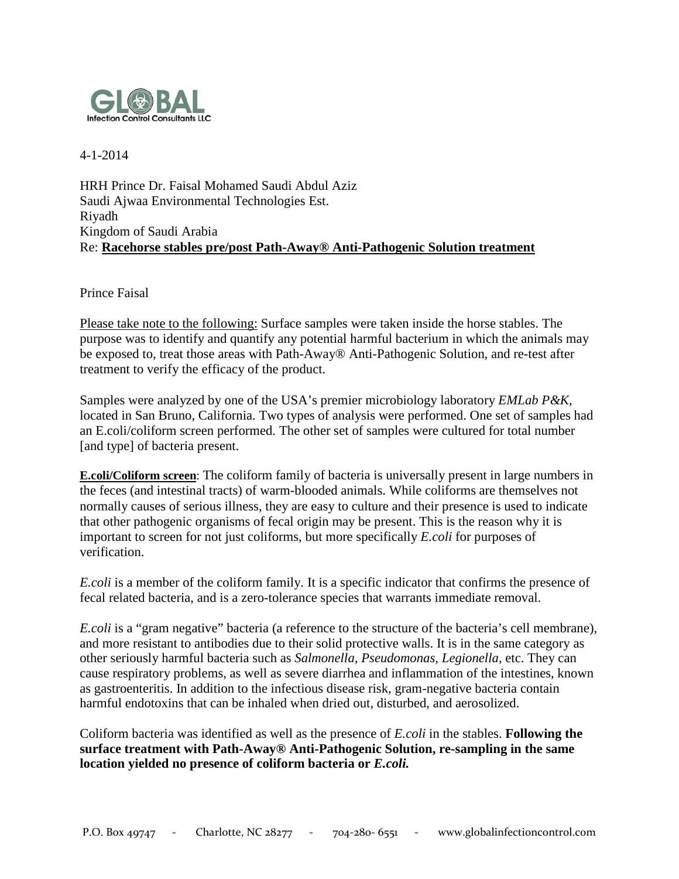

4-1-2014

HRH Prince Dr. Faisal Mohamed Saudi Abdul Aziz Saudi Ajwaa Environmental Technologies Est. Riyadh Kingdom of Saudi Arabia Re: **Racehorse stables pre/post Path-Away® Anti-Pathogenic Solution treatment**

Prince Faisal

Please take note to the following: Surface samples were taken inside the horse stables. The purpose was to identify and quantify any potential harmful bacterium in which the animals may be exposed to, treat those areas with Path-Away® Anti-Pathogenic Solution, and re-test after treatment to verify the efficacy of the product.

Samples were analyzed by one of the USA's premier microbiology laboratory *EMLab P&K,*  located in San Bruno, California. Two types of analysis were performed. One set of samples had an E.coli/coliform screen performed. The other set of samples were cultured for total number [and type] of bacteria present.

**E.coli/Coliform screen**: The coliform family of bacteria is universally present in large numbers in the feces (and intestinal tracts) of warm-blooded animals. While coliforms are themselves not normally causes of serious illness, they are easy to culture and their presence is used to indicate that other pathogenic organisms of fecal origin may be present. This is the reason why it is important to screen for not just coliforms, but more specifically *E.coli* for purposes of verification.

*E.coli* is a member of the coliform family. It is a specific indicator that confirms the presence of fecal related bacteria, and is a zero-tolerance species that warrants immediate removal.

*E.coli* is a "gram negative" bacteria (a reference to the structure of the bacteria's cell membrane), and more resistant to antibodies due to their solid protective walls. It is in the same category as other seriously harmful bacteria such as *Salmonella, Pseudomonas, Legionella*, etc. They can cause respiratory problems, as well as severe diarrhea and inflammation of the intestines, known as gastroenteritis. In addition to the infectious disease risk, gram-negative bacteria contain harmful endotoxins that can be inhaled when dried out, disturbed, and aerosolized.

Coliform bacteria was identified as well as the presence of *E.coli* in the stables. **Following the surface treatment with Path-Away® Anti-Pathogenic Solution, re-sampling in the same location yielded no presence of coliform bacteria or** *E.coli.*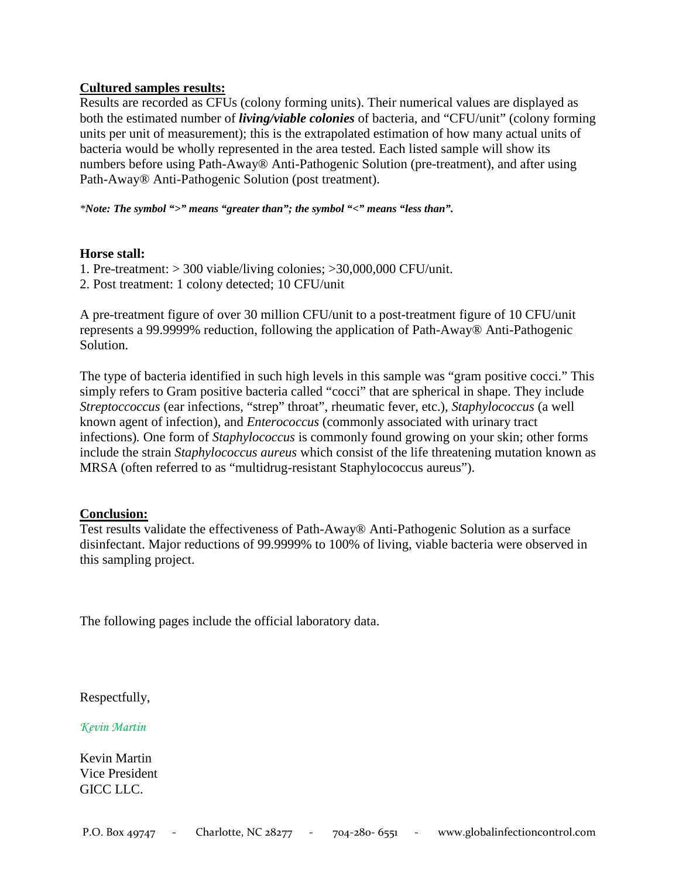# **Cultured samples results:**

Results are recorded as CFUs (colony forming units). Their numerical values are displayed as both the estimated number of *living/viable colonies* of bacteria, and "CFU/unit" (colony forming units per unit of measurement); this is the extrapolated estimation of how many actual units of bacteria would be wholly represented in the area tested. Each listed sample will show its numbers before using Path-Away® Anti-Pathogenic Solution (pre-treatment), and after using Path-Away® Anti-Pathogenic Solution (post treatment).

*\*Note: The symbol ">" means "greater than"; the symbol "<" means "less than".*

### **Horse stall:**

- 1. Pre-treatment: > 300 viable/living colonies; >30,000,000 CFU/unit.
- 2. Post treatment: 1 colony detected; 10 CFU/unit

A pre-treatment figure of over 30 million CFU/unit to a post-treatment figure of 10 CFU/unit represents a 99.9999% reduction, following the application of Path-Away® Anti-Pathogenic Solution.

The type of bacteria identified in such high levels in this sample was "gram positive cocci." This simply refers to Gram positive bacteria called "cocci" that are spherical in shape. They include *Streptoccoccus* (ear infections, "strep" throat", rheumatic fever, etc.)*, Staphylococcus* (a well known agent of infection), and *Enterococcus* (commonly associated with urinary tract infections)*.* One form of *Staphylococcus* is commonly found growing on your skin; other forms include the strain *Staphylococcus aureus* which consist of the life threatening mutation known as MRSA (often referred to as "multidrug-resistant Staphylococcus aureus").

### **Conclusion:**

Test results validate the effectiveness of Path-Away® Anti-Pathogenic Solution as a surface disinfectant. Major reductions of 99.9999% to 100% of living, viable bacteria were observed in this sampling project.

The following pages include the official laboratory data.

Respectfully,

*Kevin Martin*

Kevin Martin Vice President GICC LLC.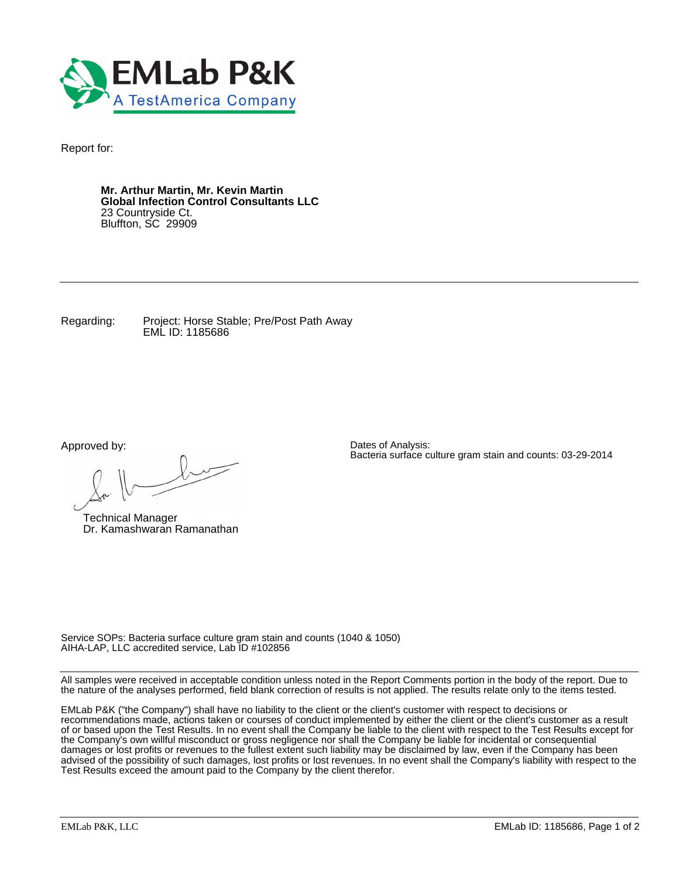

Report for:

**Mr. Arthur Martin, Mr. Kevin Martin Global Infection Control Consultants LLC** 23 Countryside Ct. Bluffton, SC 29909

Regarding: Project: Horse Stable; Pre/Post Path Away EML ID: 1185686

Approved by:

 $\ell$ 

Technical Manager Dr. Kamashwaran Ramanathan

Dates of Analysis: Bacteria surface culture gram stain and counts: 03-29-2014

Service SOPs: Bacteria surface culture gram stain and counts (1040 & 1050) AIHA-LAP, LLC accredited service, Lab ID #102856

All samples were received in acceptable condition unless noted in the Report Comments portion in the body of the report. Due to the nature of the analyses performed, field blank correction of results is not applied. The results relate only to the items tested.

EMLab P&K ("the Company") shall have no liability to the client or the client's customer with respect to decisions or recommendations made, actions taken or courses of conduct implemented by either the client or the client's customer as a result of or based upon the Test Results. In no event shall the Company be liable to the client with respect to the Test Results except for the Company's own willful misconduct or gross negligence nor shall the Company be liable for incidental or consequential damages or lost profits or revenues to the fullest extent such liability may be disclaimed by law, even if the Company has been advised of the possibility of such damages, lost profits or lost revenues. In no event shall the Company's liability with respect to the Test Results exceed the amount paid to the Company by the client therefor.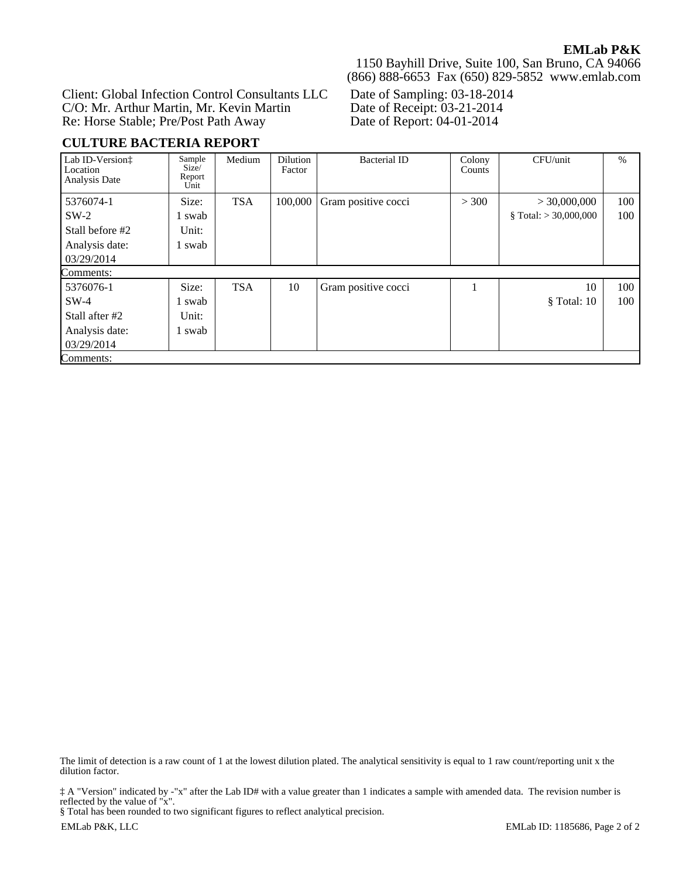Client: Global Infection Control Consultants LLC C/O: Mr. Arthur Martin, Mr. Kevin Martin Re: Horse Stable; Pre/Post Path Away

**CULTURE BACTERIA REPORT**

1150 Bayhill Drive, Suite 100, San Bruno, CA 94066 (866) 888-6653 Fax (650) 829-5852 www.emlab.com

Date of Sampling: 03-18-2014 Date of Receipt: 03-21-2014 Date of Report: 04-01-2014

| Lab ID-Version:<br>Location<br>Analysis Date | Sample<br>Size/<br>Report<br>Unit | Medium     | Dilution<br>Factor | <b>Bacterial ID</b> | Colony<br>Counts | CFU/unit                | $\%$ |
|----------------------------------------------|-----------------------------------|------------|--------------------|---------------------|------------------|-------------------------|------|
| 5376074-1                                    | Size:                             | <b>TSA</b> | 100,000            | Gram positive cocci | > 300            | > 30,000,000            | 100  |
| $SW-2$                                       | 1 swab                            |            |                    |                     |                  | § Total: $>$ 30,000,000 | 100  |
| Stall before #2                              | Unit:                             |            |                    |                     |                  |                         |      |
| Analysis date:                               | 1 swab                            |            |                    |                     |                  |                         |      |
| 03/29/2014                                   |                                   |            |                    |                     |                  |                         |      |
| Comments:                                    |                                   |            |                    |                     |                  |                         |      |
| 5376076-1                                    | Size:                             | <b>TSA</b> | 10                 | Gram positive cocci |                  | 10                      | 100  |
| $SW-4$                                       | 1 swab                            |            |                    |                     |                  | $\$ Total: 10           | 100  |
| Stall after #2                               | Unit:                             |            |                    |                     |                  |                         |      |
| Analysis date:                               | 1 swab                            |            |                    |                     |                  |                         |      |
| 03/29/2014                                   |                                   |            |                    |                     |                  |                         |      |
| Comments:                                    |                                   |            |                    |                     |                  |                         |      |

The limit of detection is a raw count of 1 at the lowest dilution plated. The analytical sensitivity is equal to 1 raw count/reporting unit x the dilution factor.

‡ A "Version" indicated by -"x" after the Lab ID# with a value greater than 1 indicates a sample with amended data. The revision number is reflected by the value of "x".

§ Total has been rounded to two significant figures to reflect analytical precision.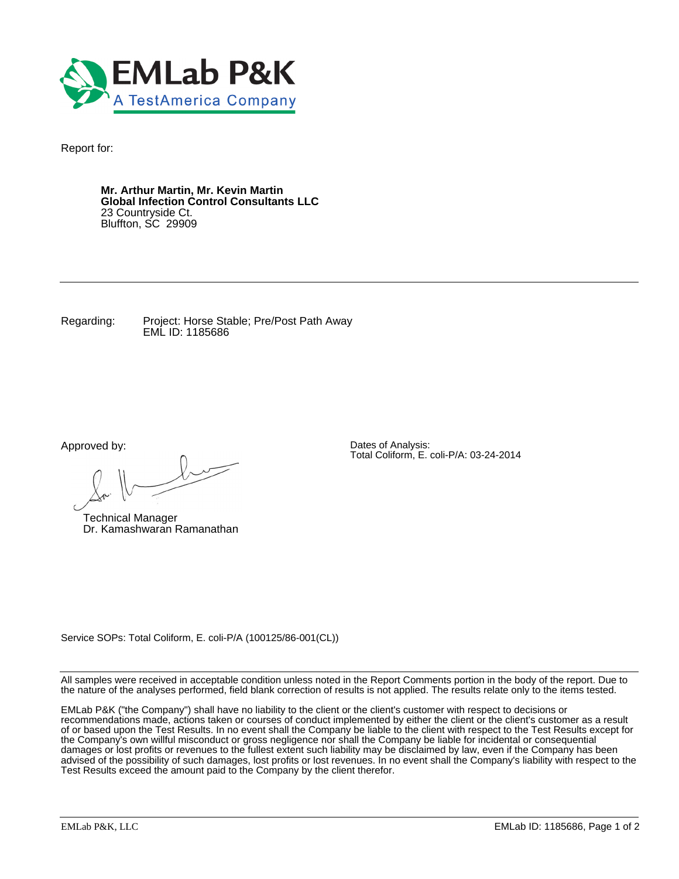

Report for:

**Mr. Arthur Martin, Mr. Kevin Martin Global Infection Control Consultants LLC** 23 Countryside Ct. Bluffton, SC 29909

Regarding: Project: Horse Stable; Pre/Post Path Away EML ID: 1185686

Approved by:

 $\ell$ 

Technical Manager Dr. Kamashwaran Ramanathan

Dates of Analysis: Total Coliform, E. coli-P/A: 03-24-2014

Service SOPs: Total Coliform, E. coli-P/A (100125/86-001(CL))

All samples were received in acceptable condition unless noted in the Report Comments portion in the body of the report. Due to the nature of the analyses performed, field blank correction of results is not applied. The results relate only to the items tested.

EMLab P&K ("the Company") shall have no liability to the client or the client's customer with respect to decisions or recommendations made, actions taken or courses of conduct implemented by either the client or the client's customer as a result of or based upon the Test Results. In no event shall the Company be liable to the client with respect to the Test Results except for the Company's own willful misconduct or gross negligence nor shall the Company be liable for incidental or consequential damages or lost profits or revenues to the fullest extent such liability may be disclaimed by law, even if the Company has been advised of the possibility of such damages, lost profits or lost revenues. In no event shall the Company's liability with respect to the Test Results exceed the amount paid to the Company by the client therefor.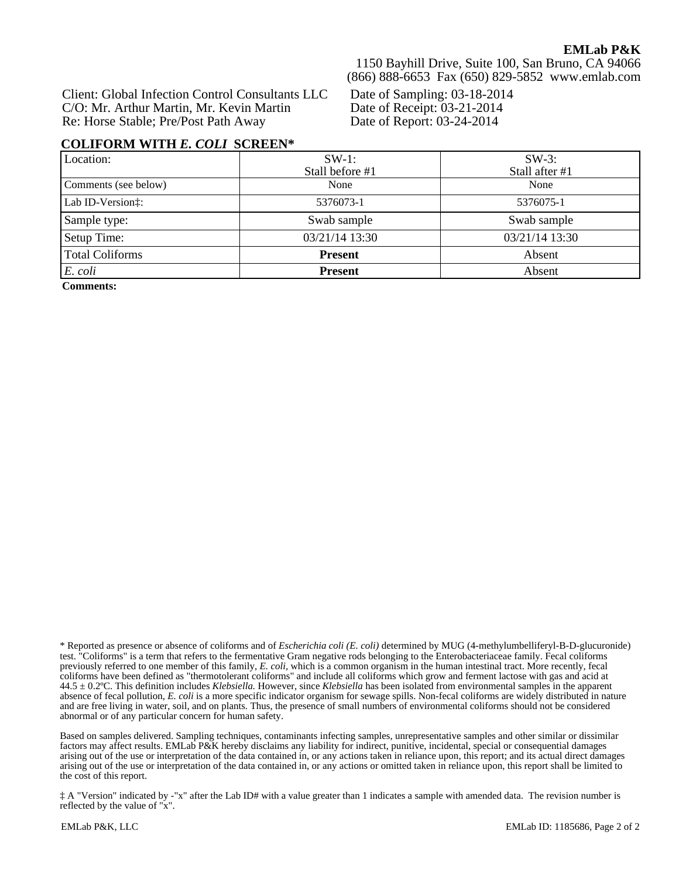# **EMLab P&K**

Client: Global Infection Control Consultants LLC C/O: Mr. Arthur Martin, Mr. Kevin Martin Re: Horse Stable; Pre/Post Path Away

1150 Bayhill Drive, Suite 100, San Bruno, CA 94066 (866) 888-6653 Fax (650) 829-5852 www.emlab.com

Date of Sampling: 03-18-2014 Date of Receipt: 03-21-2014 Date of Report: 03-24-2014

### **COLIFORM WITH** *E. COLI* **SCREEN\***

| Location:              | $SW-1$ :<br>Stall before #1 | $SW-3$ :<br>Stall after #1 |
|------------------------|-----------------------------|----------------------------|
| Comments (see below)   | None                        | None                       |
| Lab ID-Version:        | 5376073-1                   | 5376075-1                  |
| Sample type:           | Swab sample                 | Swab sample                |
| Setup Time:            | 03/21/14 13:30              | 03/21/14 13:30             |
| <b>Total Coliforms</b> | <b>Present</b>              | Absent                     |
| E. coli                | <b>Present</b>              | Absent                     |

**Comments:**

\* Reported as presence or absence of coliforms and of *Escherichia coli (E. coli)* determined by MUG (4-methylumbelliferyl-B-D-glucuronide) test. "Coliforms" is a term that refers to the fermentative Gram negative rods belonging to the Enterobacteriaceae family. Fecal coliforms previously referred to one member of this family, *E. coli,* which is a common organism in the human intestinal tract. More recently, fecal coliforms have been defined as "thermotolerant coliforms" and include all coliforms which grow and ferment lactose with gas and acid at 44.5 ± 0.2ºC. This definition includes *Klebsiella.* However, since *Klebsiella* has been isolated from environmental samples in the apparent absence of fecal pollution, *E. coli* is a more specific indicator organism for sewage spills. Non-fecal coliforms are widely distributed in nature and are free living in water, soil, and on plants. Thus, the presence of small numbers of environmental coliforms should not be considered abnormal or of any particular concern for human safety.

Based on samples delivered. Sampling techniques, contaminants infecting samples, unrepresentative samples and other similar or dissimilar factors may affect results. EMLab P&K hereby disclaims any liability for indirect, punitive, incidental, special or consequential damages arising out of the use or interpretation of the data contained in, or any actions taken in reliance upon, this report; and its actual direct damages arising out of the use or interpretation of the data contained in, or any actions or omitted taken in reliance upon, this report shall be limited to the cost of this report.

‡ A "Version" indicated by -"x" after the Lab ID# with a value greater than 1 indicates a sample with amended data. The revision number is reflected by the value of "x".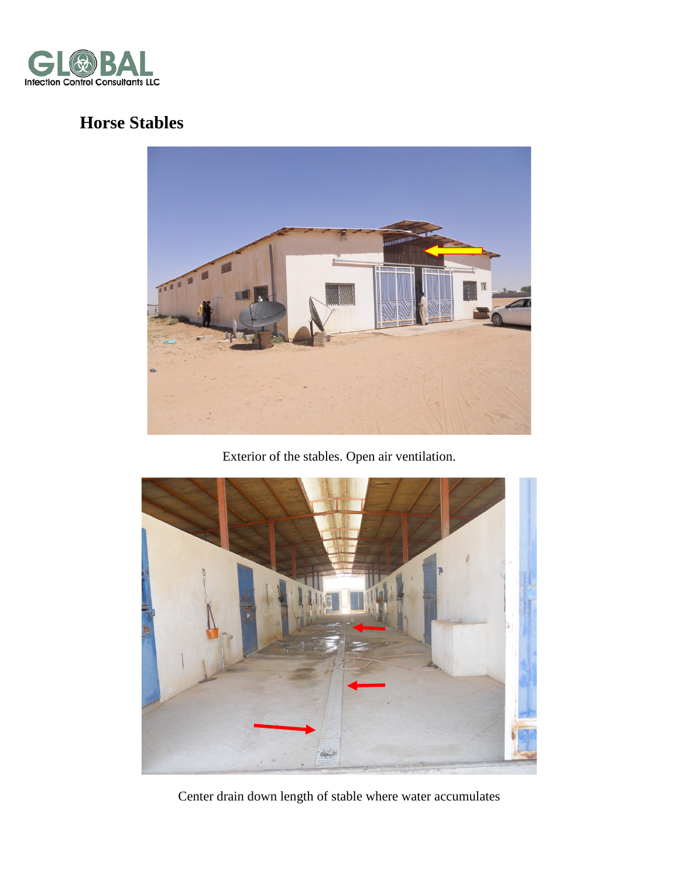

# **Horse Stables**



Exterior of the stables. Open air ventilation.



Center drain down length of stable where water accumulates